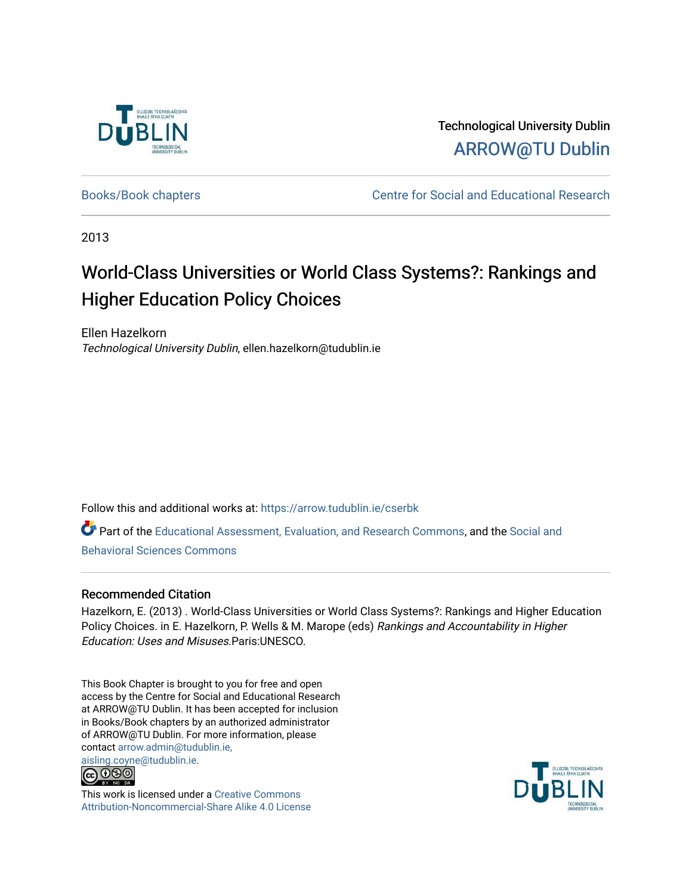

Technological University Dublin [ARROW@TU Dublin](https://arrow.tudublin.ie/) 

[Books/Book chapters](https://arrow.tudublin.ie/cserbk) **Centre for Social and Educational Research** 

2013

# World-Class Universities or World Class Systems?: Rankings and Higher Education Policy Choices

Ellen Hazelkorn Technological University Dublin, ellen.hazelkorn@tudublin.ie

Follow this and additional works at: [https://arrow.tudublin.ie/cserbk](https://arrow.tudublin.ie/cserbk?utm_source=arrow.tudublin.ie%2Fcserbk%2F20&utm_medium=PDF&utm_campaign=PDFCoverPages) 

Part of the [Educational Assessment, Evaluation, and Research Commons](http://network.bepress.com/hgg/discipline/796?utm_source=arrow.tudublin.ie%2Fcserbk%2F20&utm_medium=PDF&utm_campaign=PDFCoverPages), and the [Social and](http://network.bepress.com/hgg/discipline/316?utm_source=arrow.tudublin.ie%2Fcserbk%2F20&utm_medium=PDF&utm_campaign=PDFCoverPages) [Behavioral Sciences Commons](http://network.bepress.com/hgg/discipline/316?utm_source=arrow.tudublin.ie%2Fcserbk%2F20&utm_medium=PDF&utm_campaign=PDFCoverPages) 

# Recommended Citation

Hazelkorn, E. (2013) . World-Class Universities or World Class Systems?: Rankings and Higher Education Policy Choices. in E. Hazelkorn, P. Wells & M. Marope (eds) Rankings and Accountability in Higher Education: Uses and Misuses.Paris:UNESCO.

This Book Chapter is brought to you for free and open access by the Centre for Social and Educational Research at ARROW@TU Dublin. It has been accepted for inclusion in Books/Book chapters by an authorized administrator of ARROW@TU Dublin. For more information, please contact [arrow.admin@tudublin.ie,](mailto:arrow.admin@tudublin.ie,%20aisling.coyne@tudublin.ie) 



This work is licensed under a [Creative Commons](http://creativecommons.org/licenses/by-nc-sa/4.0/) [Attribution-Noncommercial-Share Alike 4.0 License](http://creativecommons.org/licenses/by-nc-sa/4.0/)

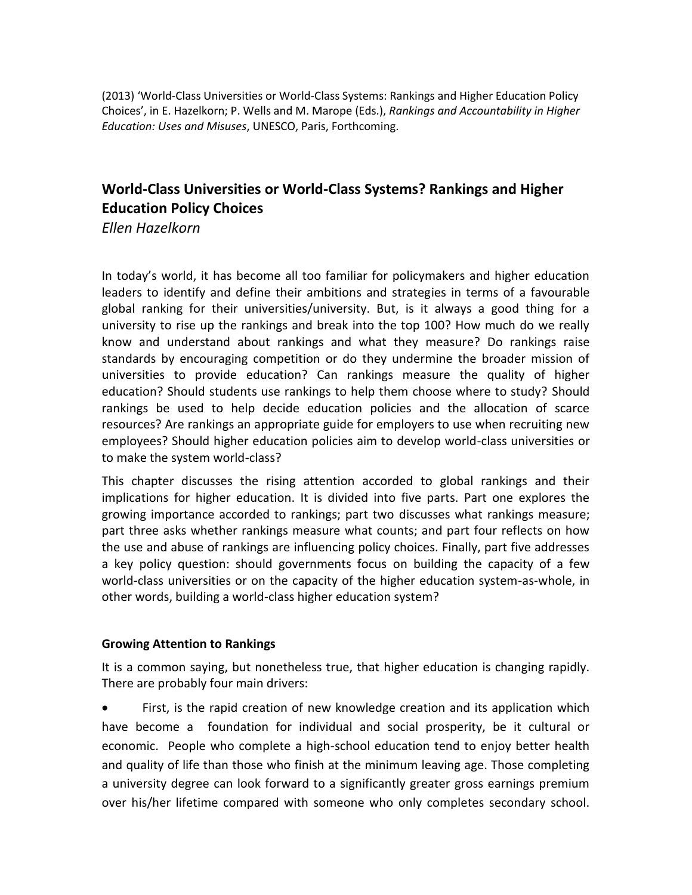(2013) 'World-Class Universities or World-Class Systems: Rankings and Higher Education Policy Choices', in E. Hazelkorn; P. Wells and M. Marope (Eds.), *Rankings and Accountability in Higher Education: Uses and Misuses*, UNESCO, Paris, Forthcoming.

# **World-Class Universities or World-Class Systems? Rankings and Higher Education Policy Choices**

*Ellen Hazelkorn*

In today's world, it has become all too familiar for policymakers and higher education leaders to identify and define their ambitions and strategies in terms of a favourable global ranking for their universities/university. But, is it always a good thing for a university to rise up the rankings and break into the top 100? How much do we really know and understand about rankings and what they measure? Do rankings raise standards by encouraging competition or do they undermine the broader mission of universities to provide education? Can rankings measure the quality of higher education? Should students use rankings to help them choose where to study? Should rankings be used to help decide education policies and the allocation of scarce resources? Are rankings an appropriate guide for employers to use when recruiting new employees? Should higher education policies aim to develop world-class universities or to make the system world-class?

This chapter discusses the rising attention accorded to global rankings and their implications for higher education. It is divided into five parts. Part one explores the growing importance accorded to rankings; part two discusses what rankings measure; part three asks whether rankings measure what counts; and part four reflects on how the use and abuse of rankings are influencing policy choices. Finally, part five addresses a key policy question: should governments focus on building the capacity of a few world-class universities or on the capacity of the higher education system-as-whole, in other words, building a world-class higher education system?

# **Growing Attention to Rankings**

It is a common saying, but nonetheless true, that higher education is changing rapidly. There are probably four main drivers:

 First, is the rapid creation of new knowledge creation and its application which have become a foundation for individual and social prosperity, be it cultural or economic. People who complete a high-school education tend to enjoy better health and quality of life than those who finish at the minimum leaving age. Those completing a university degree can look forward to a significantly greater gross earnings premium over his/her lifetime compared with someone who only completes secondary school.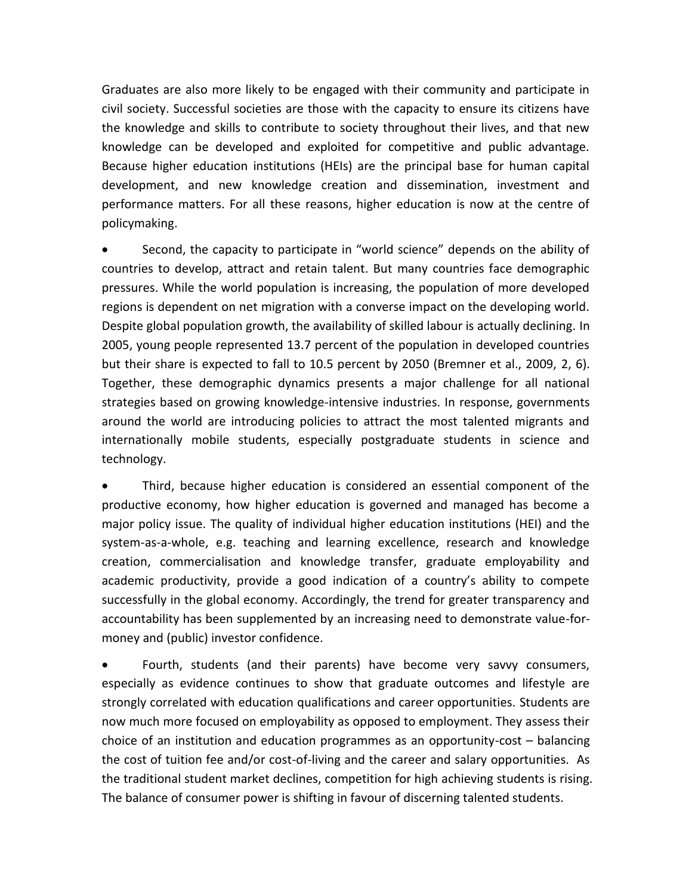Graduates are also more likely to be engaged with their community and participate in civil society. Successful societies are those with the capacity to ensure its citizens have the knowledge and skills to contribute to society throughout their lives, and that new knowledge can be developed and exploited for competitive and public advantage. Because higher education institutions (HEIs) are the principal base for human capital development, and new knowledge creation and dissemination, investment and performance matters. For all these reasons, higher education is now at the centre of policymaking.

 Second, the capacity to participate in "world science" depends on the ability of countries to develop, attract and retain talent. But many countries face demographic pressures. While the world population is increasing, the population of more developed regions is dependent on net migration with a converse impact on the developing world. Despite global population growth, the availability of skilled labour is actually declining. In 2005, young people represented 13.7 percent of the population in developed countries but their share is expected to fall to 10.5 percent by 2050 (Bremner et al., 2009, 2, 6). Together, these demographic dynamics presents a major challenge for all national strategies based on growing knowledge-intensive industries. In response, governments around the world are introducing policies to attract the most talented migrants and internationally mobile students, especially postgraduate students in science and technology.

 Third, because higher education is considered an essential component of the productive economy, how higher education is governed and managed has become a major policy issue. The quality of individual higher education institutions (HEI) and the system-as-a-whole, e.g. teaching and learning excellence, research and knowledge creation, commercialisation and knowledge transfer, graduate employability and academic productivity, provide a good indication of a country's ability to compete successfully in the global economy. Accordingly, the trend for greater transparency and accountability has been supplemented by an increasing need to demonstrate value-formoney and (public) investor confidence.

 Fourth, students (and their parents) have become very savvy consumers, especially as evidence continues to show that graduate outcomes and lifestyle are strongly correlated with education qualifications and career opportunities. Students are now much more focused on employability as opposed to employment. They assess their choice of an institution and education programmes as an opportunity-cost – balancing the cost of tuition fee and/or cost-of-living and the career and salary opportunities. As the traditional student market declines, competition for high achieving students is rising. The balance of consumer power is shifting in favour of discerning talented students.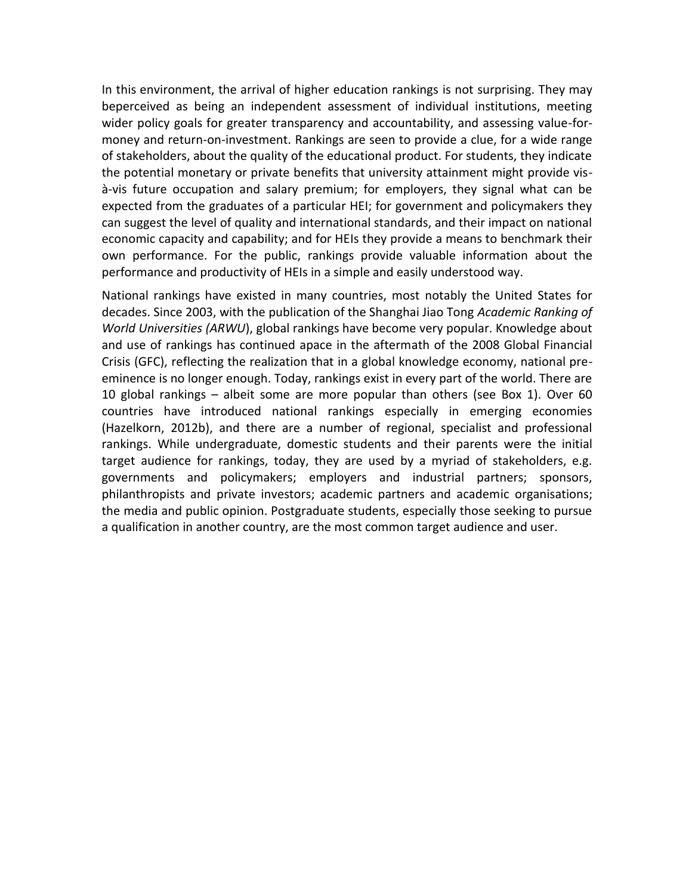In this environment, the arrival of higher education rankings is not surprising. They may beperceived as being an independent assessment of individual institutions, meeting wider policy goals for greater transparency and accountability, and assessing value-formoney and return-on-investment. Rankings are seen to provide a clue, for a wide range of stakeholders, about the quality of the educational product. For students, they indicate the potential monetary or private benefits that university attainment might provide visà-vis future occupation and salary premium; for employers, they signal what can be expected from the graduates of a particular HEI; for government and policymakers they can suggest the level of quality and international standards, and their impact on national economic capacity and capability; and for HEIs they provide a means to benchmark their own performance. For the public, rankings provide valuable information about the performance and productivity of HEIs in a simple and easily understood way.

National rankings have existed in many countries, most notably the United States for decades. Since 2003, with the publication of the Shanghai Jiao Tong *Academic Ranking of World Universities (ARWU*), global rankings have become very popular. Knowledge about and use of rankings has continued apace in the aftermath of the 2008 Global Financial Crisis (GFC), reflecting the realization that in a global knowledge economy, national preeminence is no longer enough. Today, rankings exist in every part of the world. There are 10 global rankings – albeit some are more popular than others (see Box 1). Over 60 countries have introduced national rankings especially in emerging economies (Hazelkorn, 2012b), and there are a number of regional, specialist and professional rankings. While undergraduate, domestic students and their parents were the initial target audience for rankings, today, they are used by a myriad of stakeholders, e.g. governments and policymakers; employers and industrial partners; sponsors, philanthropists and private investors; academic partners and academic organisations; the media and public opinion. Postgraduate students, especially those seeking to pursue a qualification in another country, are the most common target audience and user.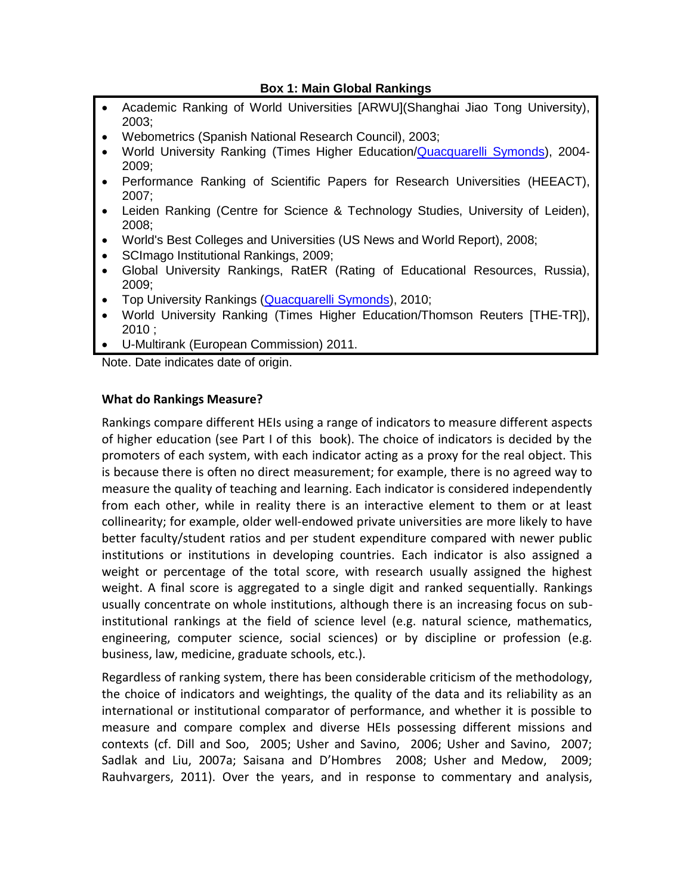# **Box 1: Main Global Rankings**

- Academic Ranking of World Universities [ARWU](Shanghai Jiao Tong University), 2003;
- Webometrics (Spanish National Research Council), 2003;
- World University Ranking (Times Higher Education[/Quacquarelli Symonds\)](http://en.wikipedia.org/wiki/Quacquarelli_Symonds), 2004- 2009;
- Performance Ranking of Scientific Papers for Research Universities (HEEACT), 2007;
- Leiden Ranking (Centre for Science & Technology Studies, University of Leiden), 2008;
- World's Best Colleges and Universities (US News and World Report), 2008;
- SCImago Institutional Rankings, 2009;
- Global University Rankings, RatER (Rating of Educational Resources, Russia), 2009;
- Top University Rankings [\(Quacquarelli](http://en.wikipedia.org/wiki/Quacquarelli_Symonds) Symonds), 2010:
- World University Ranking (Times Higher Education/Thomson Reuters [THE-TR]), 2010 ;
- U-Multirank (European Commission) 2011.

Note. Date indicates date of origin.

# **What do Rankings Measure?**

Rankings compare different HEIs using a range of indicators to measure different aspects of higher education (see Part I of this book). The choice of indicators is decided by the promoters of each system, with each indicator acting as a proxy for the real object. This is because there is often no direct measurement; for example, there is no agreed way to measure the quality of teaching and learning. Each indicator is considered independently from each other, while in reality there is an interactive element to them or at least collinearity; for example, older well-endowed private universities are more likely to have better faculty/student ratios and per student expenditure compared with newer public institutions or institutions in developing countries. Each indicator is also assigned a weight or percentage of the total score, with research usually assigned the highest weight. A final score is aggregated to a single digit and ranked sequentially. Rankings usually concentrate on whole institutions, although there is an increasing focus on subinstitutional rankings at the field of science level (e.g. natural science, mathematics, engineering, computer science, social sciences) or by discipline or profession (e.g. business, law, medicine, graduate schools, etc.).

Regardless of ranking system, there has been considerable criticism of the methodology, the choice of indicators and weightings, the quality of the data and its reliability as an international or institutional comparator of performance, and whether it is possible to measure and compare complex and diverse HEIs possessing different missions and contexts (cf. Dill and Soo, 2005; Usher and Savino, 2006; Usher and Savino, 2007; Sadlak and Liu, 2007a; Saisana and D'Hombres 2008; Usher and Medow, 2009; Rauhvargers, 2011). Over the years, and in response to commentary and analysis,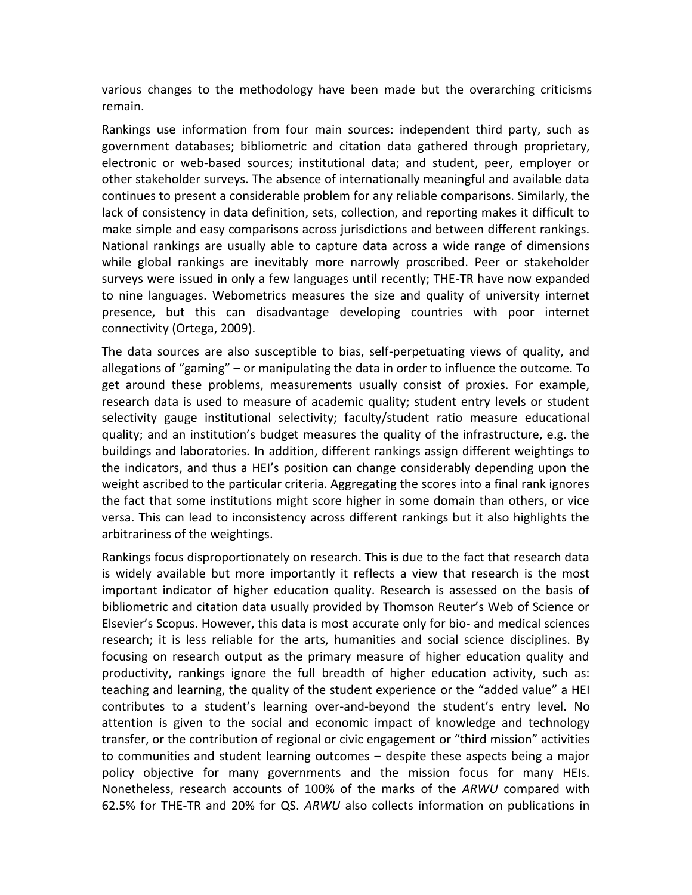various changes to the methodology have been made but the overarching criticisms remain.

Rankings use information from four main sources: independent third party, such as government databases; bibliometric and citation data gathered through proprietary, electronic or web-based sources; institutional data; and student, peer, employer or other stakeholder surveys. The absence of internationally meaningful and available data continues to present a considerable problem for any reliable comparisons. Similarly, the lack of consistency in data definition, sets, collection, and reporting makes it difficult to make simple and easy comparisons across jurisdictions and between different rankings. National rankings are usually able to capture data across a wide range of dimensions while global rankings are inevitably more narrowly proscribed. Peer or stakeholder surveys were issued in only a few languages until recently; THE-TR have now expanded to nine languages. Webometrics measures the size and quality of university internet presence, but this can disadvantage developing countries with poor internet connectivity (Ortega, 2009).

The data sources are also susceptible to bias, self-perpetuating views of quality, and allegations of "gaming" – or manipulating the data in order to influence the outcome. To get around these problems, measurements usually consist of proxies. For example, research data is used to measure of academic quality; student entry levels or student selectivity gauge institutional selectivity; faculty/student ratio measure educational quality; and an institution's budget measures the quality of the infrastructure, e.g. the buildings and laboratories. In addition, different rankings assign different weightings to the indicators, and thus a HEI's position can change considerably depending upon the weight ascribed to the particular criteria. Aggregating the scores into a final rank ignores the fact that some institutions might score higher in some domain than others, or vice versa. This can lead to inconsistency across different rankings but it also highlights the arbitrariness of the weightings.

Rankings focus disproportionately on research. This is due to the fact that research data is widely available but more importantly it reflects a view that research is the most important indicator of higher education quality. Research is assessed on the basis of bibliometric and citation data usually provided by Thomson Reuter's Web of Science or Elsevier's Scopus. However, this data is most accurate only for bio- and medical sciences research; it is less reliable for the arts, humanities and social science disciplines. By focusing on research output as the primary measure of higher education quality and productivity, rankings ignore the full breadth of higher education activity, such as: teaching and learning, the quality of the student experience or the "added value" a HEI contributes to a student's learning over-and-beyond the student's entry level. No attention is given to the social and economic impact of knowledge and technology transfer, or the contribution of regional or civic engagement or "third mission" activities to communities and student learning outcomes – despite these aspects being a major policy objective for many governments and the mission focus for many HEIs. Nonetheless, research accounts of 100% of the marks of the *ARWU* compared with 62.5% for THE-TR and 20% for QS. *ARWU* also collects information on publications in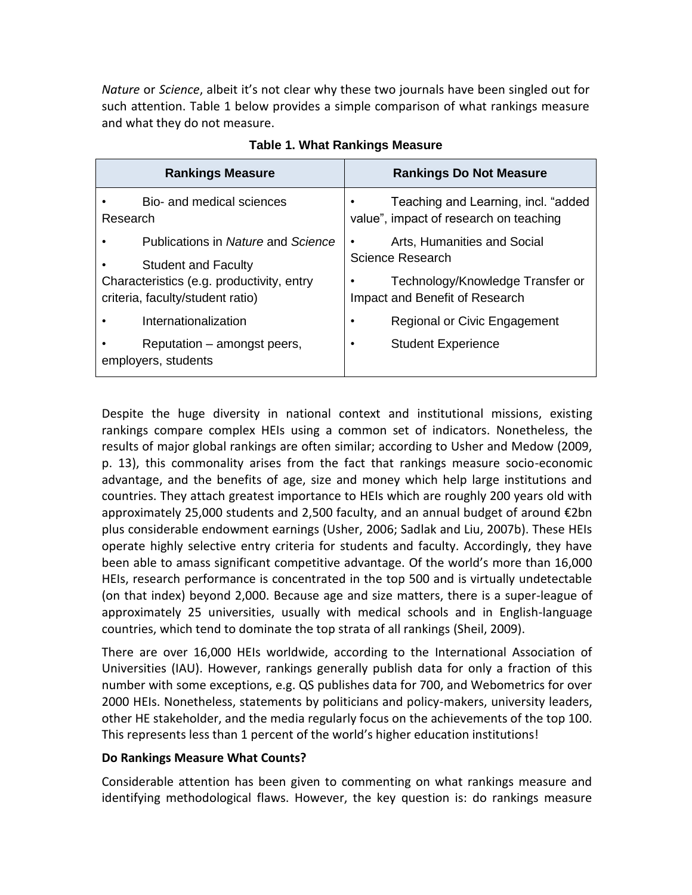*Nature* or *Science*, albeit it's not clear why these two journals have been singled out for such attention. Table 1 below provides a simple comparison of what rankings measure and what they do not measure.

|          | <b>Rankings Measure</b>                                                       | <b>Rankings Do Not Measure</b>                                                |  |  |  |  |
|----------|-------------------------------------------------------------------------------|-------------------------------------------------------------------------------|--|--|--|--|
| Research | Bio- and medical sciences                                                     | Teaching and Learning, incl. "added<br>value", impact of research on teaching |  |  |  |  |
|          | Publications in Nature and Science<br><b>Student and Faculty</b>              | Arts, Humanities and Social<br>٠<br><b>Science Research</b>                   |  |  |  |  |
|          | Characteristics (e.g. productivity, entry<br>criteria, faculty/student ratio) | Technology/Knowledge Transfer or<br>Impact and Benefit of Research            |  |  |  |  |
|          | Internationalization                                                          | Regional or Civic Engagement<br>٠                                             |  |  |  |  |
|          | Reputation – amongst peers,<br>employers, students                            | <b>Student Experience</b><br>٠                                                |  |  |  |  |

**Table 1. What Rankings Measure**

Despite the huge diversity in national context and institutional missions, existing rankings compare complex HEIs using a common set of indicators. Nonetheless, the results of major global rankings are often similar; according to Usher and Medow (2009, p. 13), this commonality arises from the fact that rankings measure socio-economic advantage, and the benefits of age, size and money which help large institutions and countries. They attach greatest importance to HEIs which are roughly 200 years old with approximately 25,000 students and 2,500 faculty, and an annual budget of around €2bn plus considerable endowment earnings (Usher, 2006; Sadlak and Liu, 2007b). These HEIs operate highly selective entry criteria for students and faculty. Accordingly, they have been able to amass significant competitive advantage. Of the world's more than 16,000 HEIs, research performance is concentrated in the top 500 and is virtually undetectable (on that index) beyond 2,000. Because age and size matters, there is a super-league of approximately 25 universities, usually with medical schools and in English-language countries, which tend to dominate the top strata of all rankings (Sheil, 2009).

There are over 16,000 HEIs worldwide, according to the International Association of Universities (IAU). However, rankings generally publish data for only a fraction of this number with some exceptions, e.g. QS publishes data for 700, and Webometrics for over 2000 HEIs. Nonetheless, statements by politicians and policy-makers, university leaders, other HE stakeholder, and the media regularly focus on the achievements of the top 100. This represents less than 1 percent of the world's higher education institutions!

# **Do Rankings Measure What Counts?**

Considerable attention has been given to commenting on what rankings measure and identifying methodological flaws. However, the key question is: do rankings measure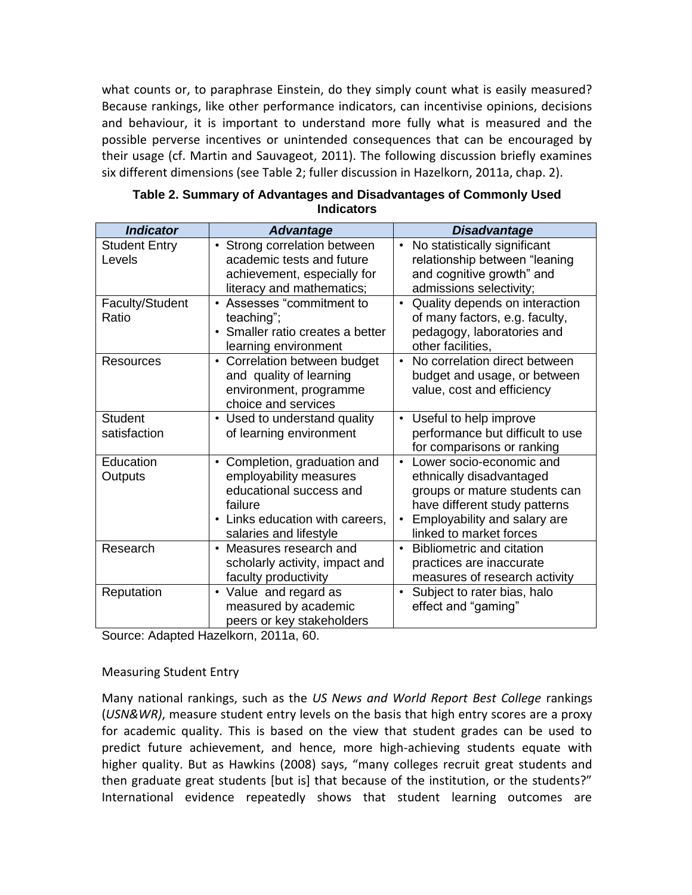what counts or, to paraphrase Einstein, do they simply count what is easily measured? Because rankings, like other performance indicators, can incentivise opinions, decisions and behaviour, it is important to understand more fully what is measured and the possible perverse incentives or unintended consequences that can be encouraged by their usage (cf. Martin and Sauvageot, 2011). The following discussion briefly examines six different dimensions (see Table 2; fuller discussion in Hazelkorn, 2011a, chap. 2).

| <b>Indicator</b>               | <b>Advantage</b>                                                                                                                                                     | <b>Disadvantage</b>                                                                                                                                                                            |
|--------------------------------|----------------------------------------------------------------------------------------------------------------------------------------------------------------------|------------------------------------------------------------------------------------------------------------------------------------------------------------------------------------------------|
| <b>Student Entry</b><br>Levels | Strong correlation between<br>$\bullet$<br>academic tests and future<br>achievement, especially for<br>literacy and mathematics;                                     | No statistically significant<br>relationship between "leaning<br>and cognitive growth" and<br>admissions selectivity;                                                                          |
| Faculty/Student<br>Ratio       | • Assesses "commitment to<br>teaching";<br>Smaller ratio creates a better<br>$\bullet$<br>learning environment                                                       | Quality depends on interaction<br>of many factors, e.g. faculty,<br>pedagogy, laboratories and<br>other facilities,                                                                            |
| Resources                      | Correlation between budget<br>$\bullet$<br>and quality of learning<br>environment, programme<br>choice and services                                                  | No correlation direct between<br>$\bullet$<br>budget and usage, or between<br>value, cost and efficiency                                                                                       |
| <b>Student</b><br>satisfaction | • Used to understand quality<br>of learning environment                                                                                                              | Useful to help improve<br>$\bullet$<br>performance but difficult to use<br>for comparisons or ranking                                                                                          |
| Education<br>Outputs           | Completion, graduation and<br>$\bullet$<br>employability measures<br>educational success and<br>failure<br>• Links education with careers,<br>salaries and lifestyle | Lower socio-economic and<br>$\bullet$<br>ethnically disadvantaged<br>groups or mature students can<br>have different study patterns<br>Employability and salary are<br>linked to market forces |
| Research                       | • Measures research and<br>scholarly activity, impact and<br>faculty productivity                                                                                    | • Bibliometric and citation<br>practices are inaccurate<br>measures of research activity                                                                                                       |
| Reputation                     | • Value and regard as<br>measured by academic<br>peers or key stakeholders                                                                                           | Subject to rater bias, halo<br>effect and "gaming"                                                                                                                                             |

| Table 2. Summary of Advantages and Disadvantages of Commonly Used |  |  |  |  |  |  |  |
|-------------------------------------------------------------------|--|--|--|--|--|--|--|
| Indicators                                                        |  |  |  |  |  |  |  |

Source: Adapted Hazelkorn, 2011a, 60.

# Measuring Student Entry

Many national rankings, such as the *US News and World Report Best College* rankings (*USN&WR)*, measure student entry levels on the basis that high entry scores are a proxy for academic quality. This is based on the view that student grades can be used to predict future achievement, and hence, more high-achieving students equate with higher quality. But as Hawkins (2008) says, "many colleges recruit great students and then graduate great students [but is] that because of the institution, or the students?" International evidence repeatedly shows that student learning outcomes are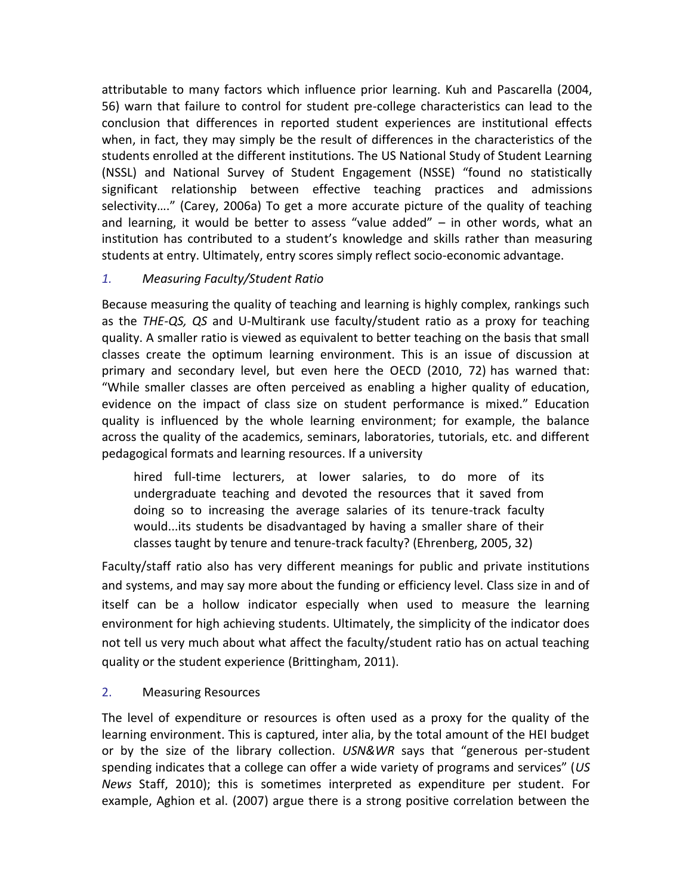attributable to many factors which influence prior learning. Kuh and Pascarella (2004, 56) warn that failure to control for student pre-college characteristics can lead to the conclusion that differences in reported student experiences are institutional effects when, in fact, they may simply be the result of differences in the characteristics of the students enrolled at the different institutions. The US National Study of Student Learning (NSSL) and National Survey of Student Engagement (NSSE) "found no statistically significant relationship between effective teaching practices and admissions selectivity…." (Carey, 2006a) To get a more accurate picture of the quality of teaching and learning, it would be better to assess "value added" – in other words, what an institution has contributed to a student's knowledge and skills rather than measuring students at entry. Ultimately, entry scores simply reflect socio-economic advantage.

# *1. Measuring Faculty/Student Ratio*

Because measuring the quality of teaching and learning is highly complex, rankings such as the *THE-QS, QS* and U-Multirank use faculty/student ratio as a proxy for teaching quality. A smaller ratio is viewed as equivalent to better teaching on the basis that small classes create the optimum learning environment. This is an issue of discussion at primary and secondary level, but even here the OECD (2010, 72) has warned that: "While smaller classes are often perceived as enabling a higher quality of education, evidence on the impact of class size on student performance is mixed." Education quality is influenced by the whole learning environment; for example, the balance across the quality of the academics, seminars, laboratories, tutorials, etc. and different pedagogical formats and learning resources. If a university

hired full-time lecturers, at lower salaries, to do more of its undergraduate teaching and devoted the resources that it saved from doing so to increasing the average salaries of its tenure-track faculty would...its students be disadvantaged by having a smaller share of their classes taught by tenure and tenure-track faculty? (Ehrenberg, 2005, 32)

Faculty/staff ratio also has very different meanings for public and private institutions and systems, and may say more about the funding or efficiency level. Class size in and of itself can be a hollow indicator especially when used to measure the learning environment for high achieving students. Ultimately, the simplicity of the indicator does not tell us very much about what affect the faculty/student ratio has on actual teaching quality or the student experience (Brittingham, 2011).

# 2. Measuring Resources

The level of expenditure or resources is often used as a proxy for the quality of the learning environment. This is captured, inter alia, by the total amount of the HEI budget or by the size of the library collection. *USN&WR* says that "generous per-student spending indicates that a college can offer a wide variety of programs and services" (*US News* Staff, 2010); this is sometimes interpreted as expenditure per student. For example, Aghion et al. (2007) argue there is a strong positive correlation between the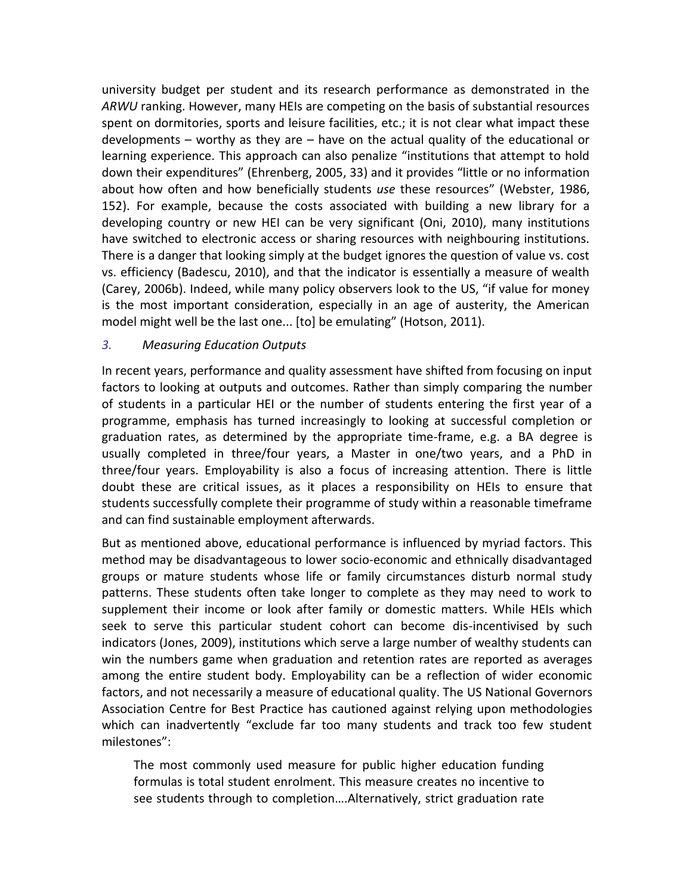university budget per student and its research performance as demonstrated in the *ARWU* ranking. However, many HEIs are competing on the basis of substantial resources spent on dormitories, sports and leisure facilities, etc.; it is not clear what impact these developments – worthy as they are – have on the actual quality of the educational or learning experience. This approach can also penalize "institutions that attempt to hold down their expenditures" (Ehrenberg, 2005, 33) and it provides "little or no information about how often and how beneficially students *use* these resources" (Webster, 1986, 152). For example, because the costs associated with building a new library for a developing country or new HEI can be very significant (Oni, 2010), many institutions have switched to electronic access or sharing resources with neighbouring institutions. There is a danger that looking simply at the budget ignores the question of value vs. cost vs. efficiency (Badescu, 2010), and that the indicator is essentially a measure of wealth (Carey, 2006b). Indeed, while many policy observers look to the US, "if value for money is the most important consideration, especially in an age of austerity, the American model might well be the last one... [to] be emulating" (Hotson, 2011).

# *3. Measuring Education Outputs*

In recent years, performance and quality assessment have shifted from focusing on input factors to looking at outputs and outcomes. Rather than simply comparing the number of students in a particular HEI or the number of students entering the first year of a programme, emphasis has turned increasingly to looking at successful completion or graduation rates, as determined by the appropriate time-frame, e.g. a BA degree is usually completed in three/four years, a Master in one/two years, and a PhD in three/four years. Employability is also a focus of increasing attention. There is little doubt these are critical issues, as it places a responsibility on HEIs to ensure that students successfully complete their programme of study within a reasonable timeframe and can find sustainable employment afterwards.

But as mentioned above, educational performance is influenced by myriad factors. This method may be disadvantageous to lower socio-economic and ethnically disadvantaged groups or mature students whose life or family circumstances disturb normal study patterns. These students often take longer to complete as they may need to work to supplement their income or look after family or domestic matters. While HEIs which seek to serve this particular student cohort can become dis-incentivised by such indicators (Jones, 2009), institutions which serve a large number of wealthy students can win the numbers game when graduation and retention rates are reported as averages among the entire student body. Employability can be a reflection of wider economic factors, and not necessarily a measure of educational quality. The US National Governors Association Centre for Best Practice has cautioned against relying upon methodologies which can inadvertently "exclude far too many students and track too few student milestones":

The most commonly used measure for public higher education funding formulas is total student enrolment. This measure creates no incentive to see students through to completion….Alternatively, strict graduation rate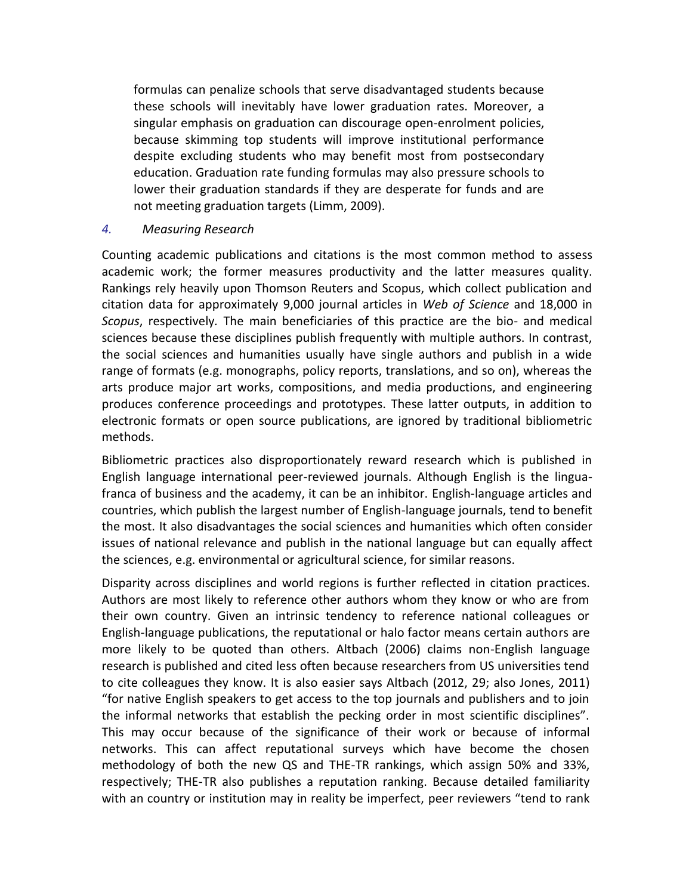formulas can penalize schools that serve disadvantaged students because these schools will inevitably have lower graduation rates. Moreover, a singular emphasis on graduation can discourage open-enrolment policies, because skimming top students will improve institutional performance despite excluding students who may benefit most from postsecondary education. Graduation rate funding formulas may also pressure schools to lower their graduation standards if they are desperate for funds and are not meeting graduation targets (Limm, 2009).

# *4. Measuring Research*

Counting academic publications and citations is the most common method to assess academic work; the former measures productivity and the latter measures quality. Rankings rely heavily upon Thomson Reuters and Scopus, which collect publication and citation data for approximately 9,000 journal articles in *Web of Science* and 18,000 in *Scopus*, respectively*.* The main beneficiaries of this practice are the bio- and medical sciences because these disciplines publish frequently with multiple authors. In contrast, the social sciences and humanities usually have single authors and publish in a wide range of formats (e.g. monographs, policy reports, translations, and so on), whereas the arts produce major art works, compositions, and media productions, and engineering produces conference proceedings and prototypes. These latter outputs, in addition to electronic formats or open source publications, are ignored by traditional bibliometric methods.

Bibliometric practices also disproportionately reward research which is published in English language international peer-reviewed journals. Although English is the linguafranca of business and the academy, it can be an inhibitor. English-language articles and countries, which publish the largest number of English-language journals, tend to benefit the most. It also disadvantages the social sciences and humanities which often consider issues of national relevance and publish in the national language but can equally affect the sciences, e.g. environmental or agricultural science, for similar reasons.

Disparity across disciplines and world regions is further reflected in citation practices. Authors are most likely to reference other authors whom they know or who are from their own country. Given an intrinsic tendency to reference national colleagues or English-language publications, the reputational or halo factor means certain authors are more likely to be quoted than others. Altbach (2006) claims non-English language research is published and cited less often because researchers from US universities tend to cite colleagues they know. It is also easier says Altbach (2012, 29; also Jones, 2011) "for native English speakers to get access to the top journals and publishers and to join the informal networks that establish the pecking order in most scientific disciplines". This may occur because of the significance of their work or because of informal networks. This can affect reputational surveys which have become the chosen methodology of both the new QS and THE-TR rankings, which assign 50% and 33%, respectively; THE-TR also publishes a reputation ranking. Because detailed familiarity with an country or institution may in reality be imperfect, peer reviewers "tend to rank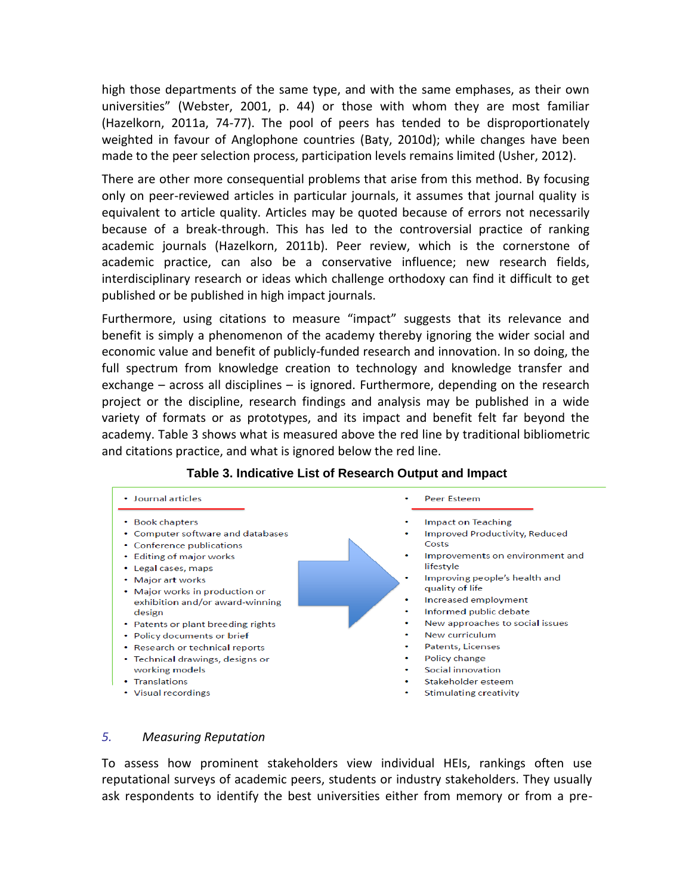high those departments of the same type, and with the same emphases, as their own universities" (Webster, 2001, p. 44) or those with whom they are most familiar (Hazelkorn, 2011a, 74-77). The pool of peers has tended to be disproportionately weighted in favour of Anglophone countries (Baty, 2010d); while changes have been made to the peer selection process, participation levels remains limited (Usher, 2012).

There are other more consequential problems that arise from this method. By focusing only on peer-reviewed articles in particular journals, it assumes that journal quality is equivalent to article quality. Articles may be quoted because of errors not necessarily because of a break-through. This has led to the controversial practice of ranking academic journals (Hazelkorn, 2011b). Peer review, which is the cornerstone of academic practice, can also be a conservative influence; new research fields, interdisciplinary research or ideas which challenge orthodoxy can find it difficult to get published or be published in high impact journals.

Furthermore, using citations to measure "impact" suggests that its relevance and benefit is simply a phenomenon of the academy thereby ignoring the wider social and economic value and benefit of publicly-funded research and innovation. In so doing, the full spectrum from knowledge creation to technology and knowledge transfer and exchange – across all disciplines – is ignored. Furthermore, depending on the research project or the discipline, research findings and analysis may be published in a wide variety of formats or as prototypes, and its impact and benefit felt far beyond the academy. Table 3 shows what is measured above the red line by traditional bibliometric and citations practice, and what is ignored below the red line.



# **Table 3. Indicative List of Research Output and Impact**

#### *5. Measuring Reputation*

To assess how prominent stakeholders view individual HEIs, rankings often use reputational surveys of academic peers, students or industry stakeholders. They usually ask respondents to identify the best universities either from memory or from a pre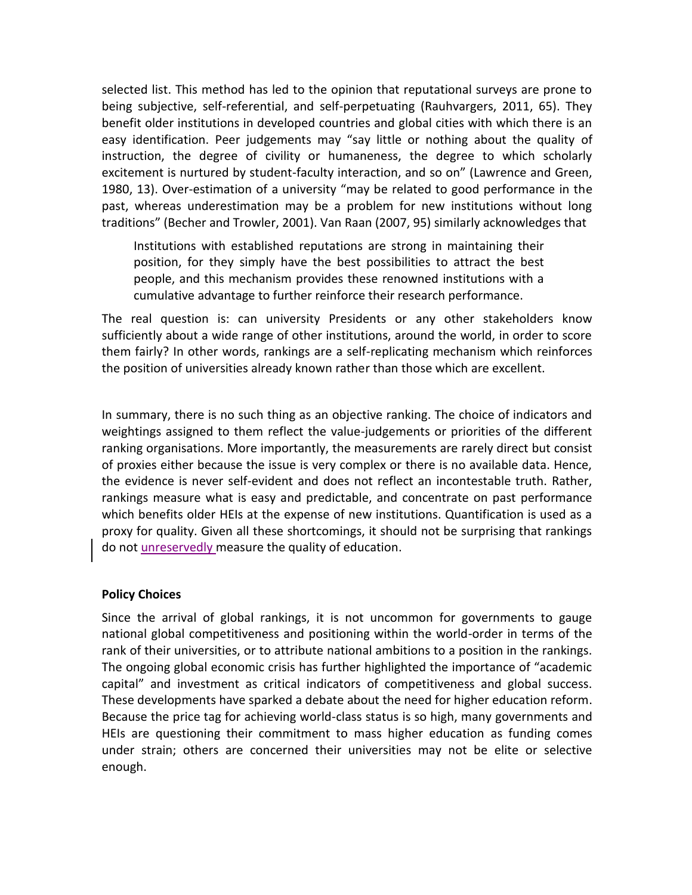selected list. This method has led to the opinion that reputational surveys are prone to being subjective, self-referential, and self-perpetuating (Rauhvargers, 2011, 65). They benefit older institutions in developed countries and global cities with which there is an easy identification. Peer judgements may "say little or nothing about the quality of instruction, the degree of civility or humaneness, the degree to which scholarly excitement is nurtured by student-faculty interaction, and so on" (Lawrence and Green, 1980, 13). Over-estimation of a university "may be related to good performance in the past, whereas underestimation may be a problem for new institutions without long traditions" (Becher and Trowler, 2001). Van Raan (2007, 95) similarly acknowledges that

Institutions with established reputations are strong in maintaining their position, for they simply have the best possibilities to attract the best people, and this mechanism provides these renowned institutions with a cumulative advantage to further reinforce their research performance.

The real question is: can university Presidents or any other stakeholders know sufficiently about a wide range of other institutions, around the world, in order to score them fairly? In other words, rankings are a self-replicating mechanism which reinforces the position of universities already known rather than those which are excellent.

In summary, there is no such thing as an objective ranking. The choice of indicators and weightings assigned to them reflect the value-judgements or priorities of the different ranking organisations. More importantly, the measurements are rarely direct but consist of proxies either because the issue is very complex or there is no available data. Hence, the evidence is never self-evident and does not reflect an incontestable truth. Rather, rankings measure what is easy and predictable, and concentrate on past performance which benefits older HEIs at the expense of new institutions. Quantification is used as a proxy for quality. Given all these shortcomings, it should not be surprising that rankings do not unreservedly measure the quality of education.

# **Policy Choices**

Since the arrival of global rankings, it is not uncommon for governments to gauge national global competitiveness and positioning within the world-order in terms of the rank of their universities, or to attribute national ambitions to a position in the rankings. The ongoing global economic crisis has further highlighted the importance of "academic capital" and investment as critical indicators of competitiveness and global success. These developments have sparked a debate about the need for higher education reform. Because the price tag for achieving world-class status is so high, many governments and HEIs are questioning their commitment to mass higher education as funding comes under strain; others are concerned their universities may not be elite or selective enough.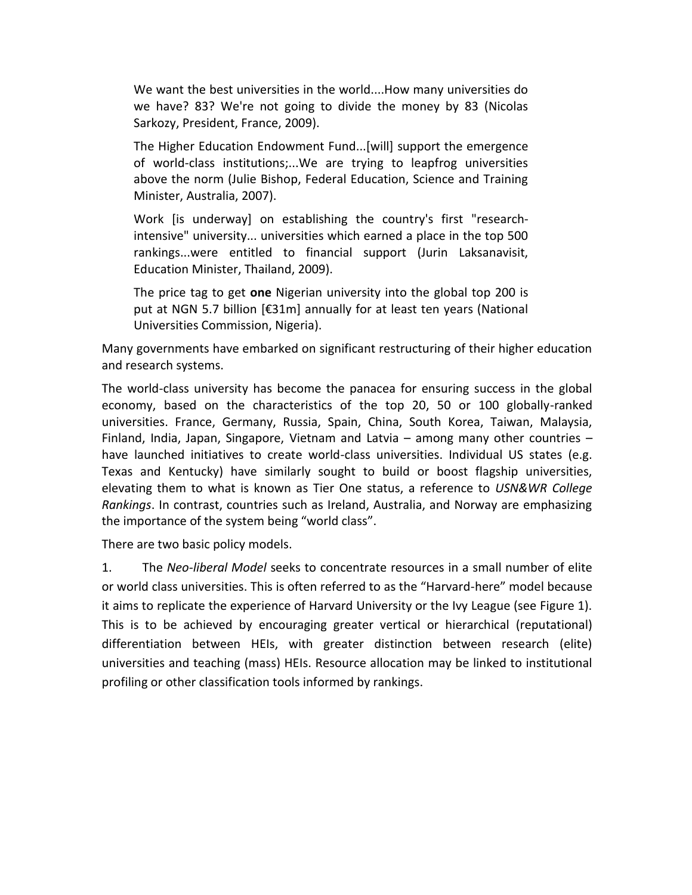We want the best universities in the world....How many universities do we have? 83? We're not going to divide the money by 83 (Nicolas Sarkozy, President, France, 2009).

The Higher Education Endowment Fund...[will] support the emergence of world-class institutions;...We are trying to leapfrog universities above the norm (Julie Bishop, Federal Education, Science and Training Minister, Australia, 2007).

Work [is underway] on establishing the country's first "researchintensive" university... universities which earned a place in the top 500 rankings...were entitled to financial support (Jurin Laksanavisit, Education Minister, Thailand, 2009).

The price tag to get **one** Nigerian university into the global top 200 is put at NGN 5.7 billion [€31m] annually for at least ten years (National Universities Commission, Nigeria).

Many governments have embarked on significant restructuring of their higher education and research systems.

The world-class university has become the panacea for ensuring success in the global economy, based on the characteristics of the top 20, 50 or 100 globally-ranked universities. France, Germany, Russia, Spain, China, South Korea, Taiwan, Malaysia, Finland, India, Japan, Singapore, Vietnam and Latvia – among many other countries – have launched initiatives to create world-class universities. Individual US states (e.g. Texas and Kentucky) have similarly sought to build or boost flagship universities, elevating them to what is known as Tier One status, a reference to *USN&WR College Rankings*. In contrast, countries such as Ireland, Australia, and Norway are emphasizing the importance of the system being "world class".

There are two basic policy models.

1. The *Neo-liberal Model* seeks to concentrate resources in a small number of elite or world class universities. This is often referred to as the "Harvard-here" model because it aims to replicate the experience of Harvard University or the Ivy League (see Figure 1). This is to be achieved by encouraging greater vertical or hierarchical (reputational) differentiation between HEIs, with greater distinction between research (elite) universities and teaching (mass) HEIs. Resource allocation may be linked to institutional profiling or other classification tools informed by rankings.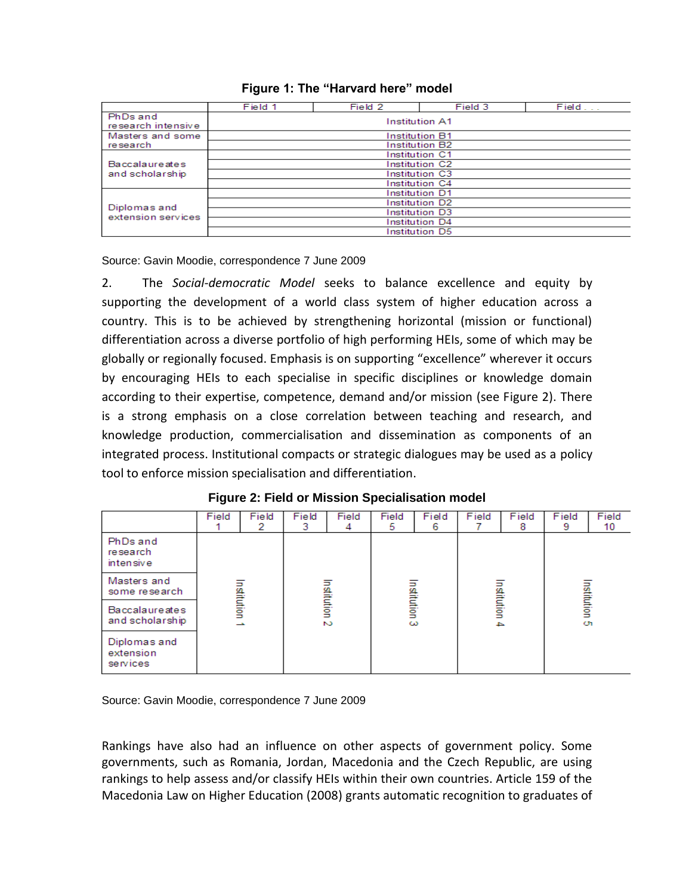|                                | Field 1               | Field 2        | Field 3 | Field |  |  |  |  |  |
|--------------------------------|-----------------------|----------------|---------|-------|--|--|--|--|--|
| PhDs and<br>research intensive | <b>Institution A1</b> |                |         |       |  |  |  |  |  |
| Masters and some               | <b>Institution B1</b> |                |         |       |  |  |  |  |  |
| re search                      | <b>Institution B2</b> |                |         |       |  |  |  |  |  |
|                                | <b>Institution C1</b> |                |         |       |  |  |  |  |  |
| <b>Baccalaureates</b>          | Institution C2        |                |         |       |  |  |  |  |  |
| and scholarship                |                       | Institution C3 |         |       |  |  |  |  |  |
|                                | Institution C4        |                |         |       |  |  |  |  |  |
|                                | <b>Institution D1</b> |                |         |       |  |  |  |  |  |
| Diplomas and                   | Institution D2        |                |         |       |  |  |  |  |  |
| extension services             | Institution D3        |                |         |       |  |  |  |  |  |
|                                | <b>Institution D4</b> |                |         |       |  |  |  |  |  |
|                                | Institution D5        |                |         |       |  |  |  |  |  |

# **Figure 1: The "Harvard here" model**

Source: Gavin Moodie, correspondence 7 June 2009

2. The *Social-democratic Model* seeks to balance excellence and equity by supporting the development of a world class system of higher education across a country. This is to be achieved by strengthening horizontal (mission or functional) differentiation across a diverse portfolio of high performing HEIs, some of which may be globally or regionally focused. Emphasis is on supporting "excellence" wherever it occurs by encouraging HEIs to each specialise in specific disciplines or knowledge domain according to their expertise, competence, demand and/or mission (see Figure 2). There is a strong emphasis on a close correlation between teaching and research, and knowledge production, commercialisation and dissemination as components of an integrated process. Institutional compacts or strategic dialogues may be used as a policy tool to enforce mission specialisation and differentiation.

|                                       | Field             | Field<br>2 | Field<br>3                  | Field<br>4 | Field<br>5.             | Field<br>6 | Field                        | Field<br>8 | Field<br>9       | Field<br>10 |
|---------------------------------------|-------------------|------------|-----------------------------|------------|-------------------------|------------|------------------------------|------------|------------------|-------------|
| PhDs and<br>research<br>intensive     | Institution<br>÷. |            | Institution<br>$\mathbf{v}$ |            | Institution<br>$\omega$ |            | Institution<br>$\rightarrow$ |            | nstitution<br>O1 |             |
| Masters and<br>some research          |                   |            |                             |            |                         |            |                              |            |                  |             |
| Baccalaureates<br>and scholarship     |                   |            |                             |            |                         |            |                              |            |                  |             |
| Diplomas and<br>extension<br>services |                   |            |                             |            |                         |            |                              |            |                  |             |

# **Figure 2: Field or Mission Specialisation model**

Source: Gavin Moodie, correspondence 7 June 2009

Rankings have also had an influence on other aspects of government policy. Some governments, such as Romania, Jordan, Macedonia and the Czech Republic, are using rankings to help assess and/or classify HEIs within their own countries. Article 159 of the Macedonia Law on Higher Education (2008) grants automatic recognition to graduates of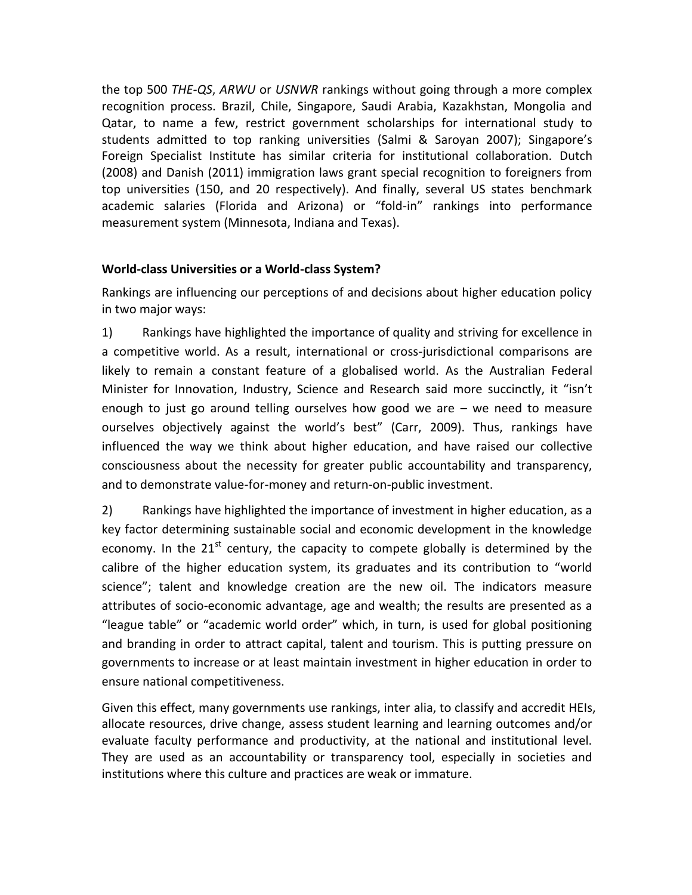the top 500 *THE-QS*, *ARWU* or *USNWR* rankings without going through a more complex recognition process. Brazil, Chile, Singapore, Saudi Arabia, Kazakhstan, Mongolia and Qatar, to name a few, restrict government scholarships for international study to students admitted to top ranking universities (Salmi & Saroyan 2007); Singapore's Foreign Specialist Institute has similar criteria for institutional collaboration. Dutch (2008) and Danish (2011) immigration laws grant special recognition to foreigners from top universities (150, and 20 respectively). And finally, several US states benchmark academic salaries (Florida and Arizona) or "fold-in" rankings into performance measurement system (Minnesota, Indiana and Texas).

# **World-class Universities or a World-class System?**

Rankings are influencing our perceptions of and decisions about higher education policy in two major ways:

1) Rankings have highlighted the importance of quality and striving for excellence in a competitive world. As a result, international or cross-jurisdictional comparisons are likely to remain a constant feature of a globalised world. As the Australian Federal Minister for Innovation, Industry, Science and Research said more succinctly, it "isn't enough to just go around telling ourselves how good we are – we need to measure ourselves objectively against the world's best" (Carr, 2009). Thus, rankings have influenced the way we think about higher education, and have raised our collective consciousness about the necessity for greater public accountability and transparency, and to demonstrate value-for-money and return-on-public investment.

2) Rankings have highlighted the importance of investment in higher education, as a key factor determining sustainable social and economic development in the knowledge economy. In the  $21^{st}$  century, the capacity to compete globally is determined by the calibre of the higher education system, its graduates and its contribution to "world science"; talent and knowledge creation are the new oil. The indicators measure attributes of socio-economic advantage, age and wealth; the results are presented as a "league table" or "academic world order" which, in turn, is used for global positioning and branding in order to attract capital, talent and tourism. This is putting pressure on governments to increase or at least maintain investment in higher education in order to ensure national competitiveness.

Given this effect, many governments use rankings, inter alia, to classify and accredit HEIs, allocate resources, drive change, assess student learning and learning outcomes and/or evaluate faculty performance and productivity, at the national and institutional level. They are used as an accountability or transparency tool, especially in societies and institutions where this culture and practices are weak or immature.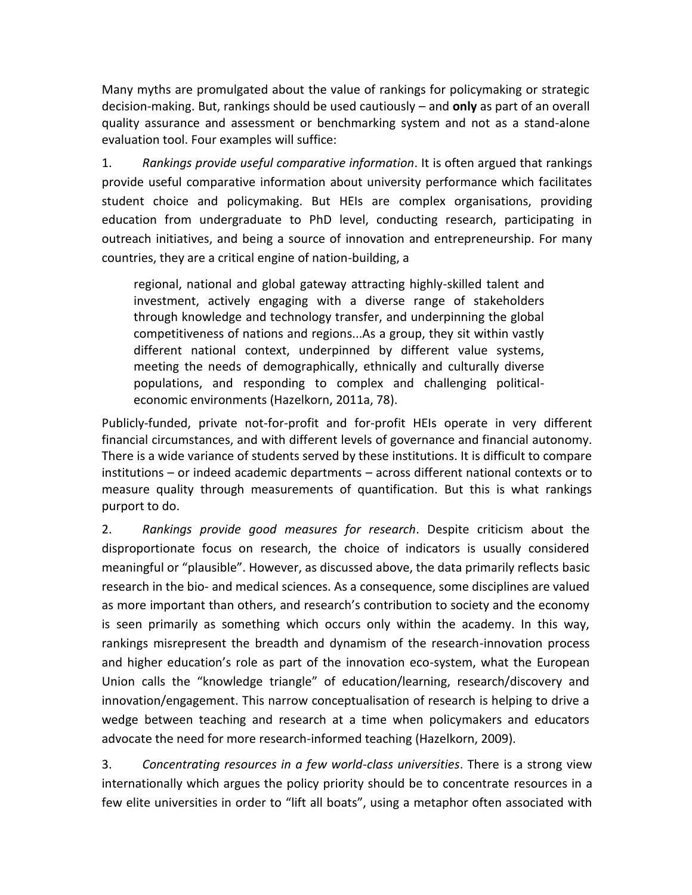Many myths are promulgated about the value of rankings for policymaking or strategic decision-making. But, rankings should be used cautiously – and **only** as part of an overall quality assurance and assessment or benchmarking system and not as a stand-alone evaluation tool. Four examples will suffice:

1. *Rankings provide useful comparative information*. It is often argued that rankings provide useful comparative information about university performance which facilitates student choice and policymaking. But HEIs are complex organisations, providing education from undergraduate to PhD level, conducting research, participating in outreach initiatives, and being a source of innovation and entrepreneurship. For many countries, they are a critical engine of nation-building, a

regional, national and global gateway attracting highly-skilled talent and investment, actively engaging with a diverse range of stakeholders through knowledge and technology transfer, and underpinning the global competitiveness of nations and regions...As a group, they sit within vastly different national context, underpinned by different value systems, meeting the needs of demographically, ethnically and culturally diverse populations, and responding to complex and challenging politicaleconomic environments (Hazelkorn, 2011a, 78).

Publicly-funded, private not-for-profit and for-profit HEIs operate in very different financial circumstances, and with different levels of governance and financial autonomy. There is a wide variance of students served by these institutions. It is difficult to compare institutions – or indeed academic departments – across different national contexts or to measure quality through measurements of quantification. But this is what rankings purport to do.

2. *Rankings provide good measures for research*. Despite criticism about the disproportionate focus on research, the choice of indicators is usually considered meaningful or "plausible". However, as discussed above, the data primarily reflects basic research in the bio- and medical sciences. As a consequence, some disciplines are valued as more important than others, and research's contribution to society and the economy is seen primarily as something which occurs only within the academy. In this way, rankings misrepresent the breadth and dynamism of the research-innovation process and higher education's role as part of the innovation eco-system, what the European Union calls the "knowledge triangle" of education/learning, research/discovery and innovation/engagement. This narrow conceptualisation of research is helping to drive a wedge between teaching and research at a time when policymakers and educators advocate the need for more research-informed teaching (Hazelkorn, 2009).

3. *Concentrating resources in a few world-class universities*. There is a strong view internationally which argues the policy priority should be to concentrate resources in a few elite universities in order to "lift all boats", using a metaphor often associated with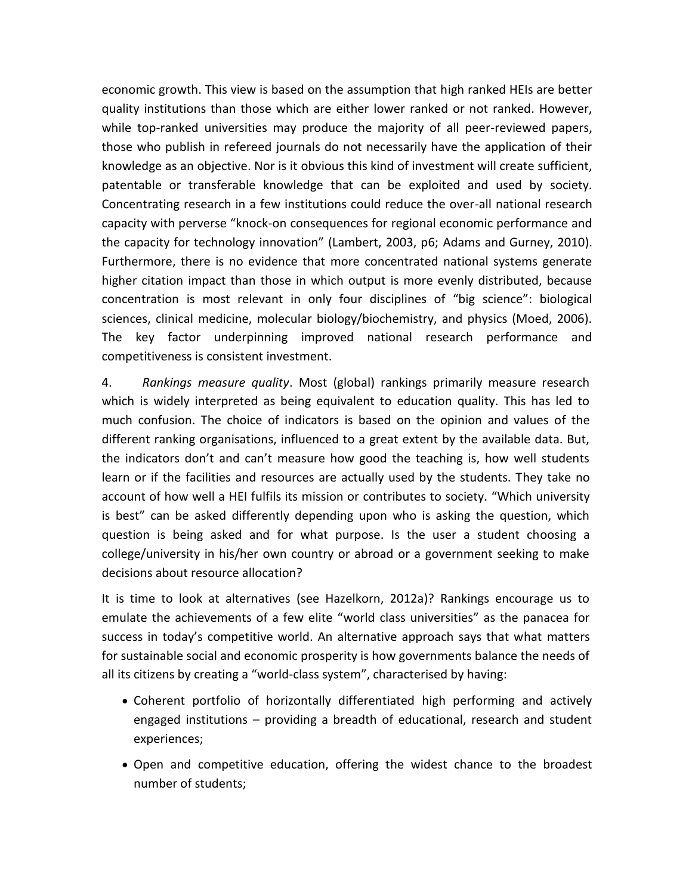economic growth. This view is based on the assumption that high ranked HEIs are better quality institutions than those which are either lower ranked or not ranked. However, while top-ranked universities may produce the majority of all peer-reviewed papers, those who publish in refereed journals do not necessarily have the application of their knowledge as an objective. Nor is it obvious this kind of investment will create sufficient, patentable or transferable knowledge that can be exploited and used by society. Concentrating research in a few institutions could reduce the over-all national research capacity with perverse "knock-on consequences for regional economic performance and the capacity for technology innovation" (Lambert, 2003, p6; Adams and Gurney, 2010). Furthermore, there is no evidence that more concentrated national systems generate higher citation impact than those in which output is more evenly distributed, because concentration is most relevant in only four disciplines of "big science": biological sciences, clinical medicine, molecular biology/biochemistry, and physics (Moed, 2006). The key factor underpinning improved national research performance and competitiveness is consistent investment.

4. *Rankings measure quality*. Most (global) rankings primarily measure research which is widely interpreted as being equivalent to education quality. This has led to much confusion. The choice of indicators is based on the opinion and values of the different ranking organisations, influenced to a great extent by the available data. But, the indicators don't and can't measure how good the teaching is, how well students learn or if the facilities and resources are actually used by the students. They take no account of how well a HEI fulfils its mission or contributes to society. "Which university is best" can be asked differently depending upon who is asking the question, which question is being asked and for what purpose. Is the user a student choosing a college/university in his/her own country or abroad or a government seeking to make decisions about resource allocation?

It is time to look at alternatives (see Hazelkorn, 2012a)? Rankings encourage us to emulate the achievements of a few elite "world class universities" as the panacea for success in today's competitive world. An alternative approach says that what matters for sustainable social and economic prosperity is how governments balance the needs of all its citizens by creating a "world-class system", characterised by having:

- Coherent portfolio of horizontally differentiated high performing and actively engaged institutions – providing a breadth of educational, research and student experiences;
- Open and competitive education, offering the widest chance to the broadest number of students;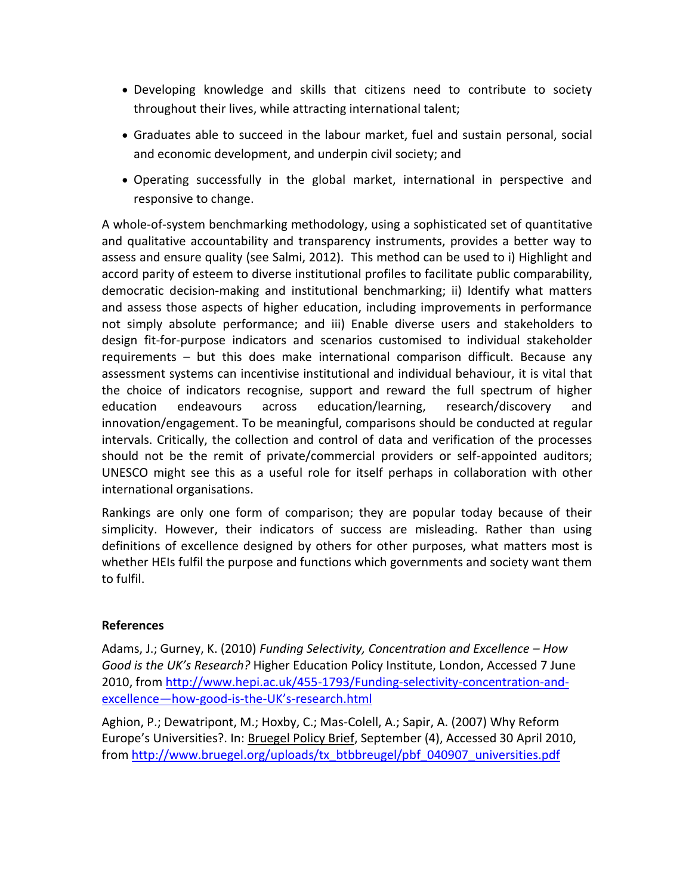- Developing knowledge and skills that citizens need to contribute to society throughout their lives, while attracting international talent;
- Graduates able to succeed in the labour market, fuel and sustain personal, social and economic development, and underpin civil society; and
- Operating successfully in the global market, international in perspective and responsive to change.

A whole-of-system benchmarking methodology, using a sophisticated set of quantitative and qualitative accountability and transparency instruments, provides a better way to assess and ensure quality (see Salmi, 2012). This method can be used to i) Highlight and accord parity of esteem to diverse institutional profiles to facilitate public comparability, democratic decision-making and institutional benchmarking; ii) Identify what matters and assess those aspects of higher education, including improvements in performance not simply absolute performance; and iii) Enable diverse users and stakeholders to design fit-for-purpose indicators and scenarios customised to individual stakeholder requirements – but this does make international comparison difficult. Because any assessment systems can incentivise institutional and individual behaviour, it is vital that the choice of indicators recognise, support and reward the full spectrum of higher education endeavours across education/learning, research/discovery and innovation/engagement. To be meaningful, comparisons should be conducted at regular intervals. Critically, the collection and control of data and verification of the processes should not be the remit of private/commercial providers or self-appointed auditors; UNESCO might see this as a useful role for itself perhaps in collaboration with other international organisations.

Rankings are only one form of comparison; they are popular today because of their simplicity. However, their indicators of success are misleading. Rather than using definitions of excellence designed by others for other purposes, what matters most is whether HEIs fulfil the purpose and functions which governments and society want them to fulfil.

# **References**

Adams, J.; Gurney, K. (2010) *Funding Selectivity, Concentration and Excellence – How Good is the UK's Research?* Higher Education Policy Institute, London, Accessed 7 June 2010, from [http://www.hepi.ac.uk/455-1793/Funding-selectivity-concentration-and](http://www.hepi.ac.uk/455-1793/Funding-selectivity-concentration-and-excellence—how-good-is-the-UK)excellence—[how-good-is-the-](http://www.hepi.ac.uk/455-1793/Funding-selectivity-concentration-and-excellence—how-good-is-the-UK)UK's-research.html

Aghion, P.; Dewatripont, M.; Hoxby, C.; Mas-Colell, A.; Sapir, A. (2007) Why Reform Europe's Universities?. In: Bruegel Policy Brief, September (4), Accessed 30 April 2010, from [http://www.bruegel.org/uploads/tx\\_btbbreugel/pbf\\_040907\\_universities.pdf](http://www.bruegel.org/uploads/tx_btbbreugel/pbf_040907_universities.pdf)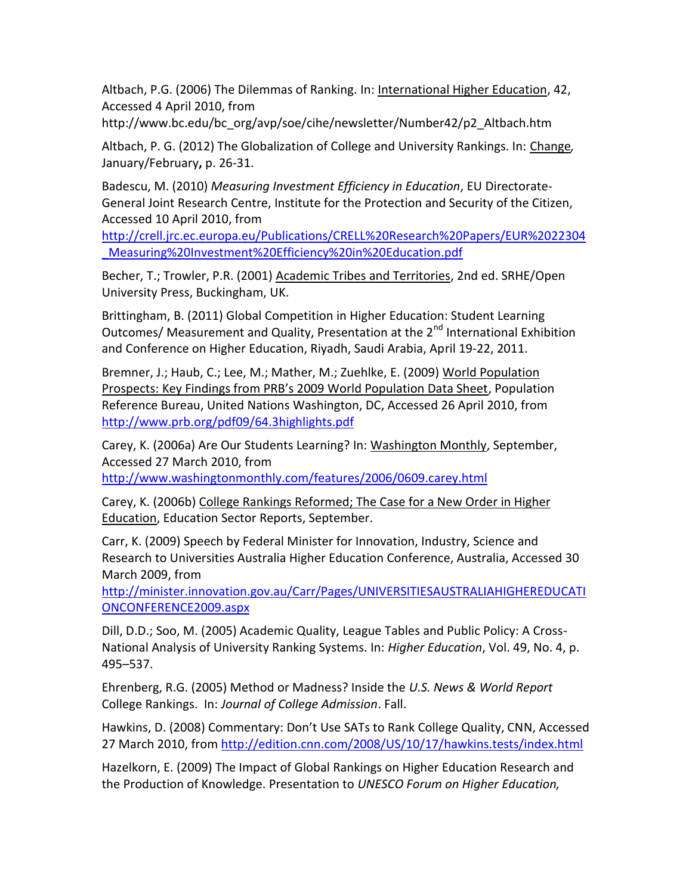Altbach, P.G. (2006) The Dilemmas of Ranking. In: International Higher Education, 42, Accessed 4 April 2010, from

http://www.bc.edu/bc\_org/avp/soe/cihe/newsletter/Number42/p2\_Altbach.htm

Altbach, P. G. (2012) The Globalization of College and University Rankings. In: Change*,* January/February**,** p. 26-31.

Badescu, M. (2010) *Measuring Investment Efficiency in Education*, EU Directorate-General Joint Research Centre, Institute for the Protection and Security of the Citizen, Accessed 10 April 2010, from

[http://crell.jrc.ec.europa.eu/Publications/CRELL%20Research%20Papers/EUR%2022304](http://crell.jrc.ec.europa.eu/Publications/CRELL%20Research%20Papers/EUR%2022304_Measuring%20Investment%20Efficiency%20in%20Education.pdf) [\\_Measuring%20Investment%20Efficiency%20in%20Education.pdf](http://crell.jrc.ec.europa.eu/Publications/CRELL%20Research%20Papers/EUR%2022304_Measuring%20Investment%20Efficiency%20in%20Education.pdf)

Becher, T.; Trowler, P.R. (2001) Academic Tribes and Territories, 2nd ed. SRHE/Open University Press, Buckingham, UK.

Brittingham, B. (2011) Global Competition in Higher Education: Student Learning Outcomes/ Measurement and Quality, Presentation at the 2<sup>nd</sup> International Exhibition and Conference on Higher Education, Riyadh, Saudi Arabia, April 19-22, 2011.

Bremner, J.; Haub, C.; Lee, M.; Mather, M.; Zuehlke, E. (2009) World Population Prospects: Key Findings from PRB's 2009 World Population Data Sheet, Population Reference Bureau, United Nations Washington, DC, Accessed 26 April 2010, from <http://www.prb.org/pdf09/64.3highlights.pdf>

Carey, K. (2006a) Are Our Students Learning? In: Washington Monthly, September, Accessed 27 March 2010, from

<http://www.washingtonmonthly.com/features/2006/0609.carey.html>

Carey, K. (2006b) College Rankings Reformed; The Case for a New Order in Higher **Education, Education Sector Reports, September.** 

Carr, K. (2009) Speech by Federal Minister for Innovation, Industry, Science and Research to Universities Australia Higher Education Conference, Australia, Accessed 30 March 2009, from

[http://minister.innovation.gov.au/Carr/Pages/UNIVERSITIESAUSTRALIAHIGHEREDUCATI](http://minister.innovation.gov.au/Carr/Pages/UNIVERSITIESAUSTRALIAHIGHEREDUCATIONCONFERENCE2009.aspx) [ONCONFERENCE2009.aspx](http://minister.innovation.gov.au/Carr/Pages/UNIVERSITIESAUSTRALIAHIGHEREDUCATIONCONFERENCE2009.aspx)

Dill, D.D.; Soo, M. (2005) Academic Quality, League Tables and Public Policy: A Cross-National Analysis of University Ranking Systems. In: *Higher Education*, Vol. 49, No. 4, p. 495–537.

Ehrenberg, R.G. (2005) Method or Madness? Inside the *U.S. News & World Report*  College Rankings. In: *Journal of College Admission*. Fall.

Hawkins, D. (2008) Commentary: Don't Use SATs to Rank College Quality, CNN, Accessed 27 March 2010, fro[m http://edition.cnn.com/2008/US/10/17/hawkins.tests/index.html](http://edition.cnn.com/2008/US/10/17/hawkins.tests/index.html)

Hazelkorn, E. (2009) The Impact of Global Rankings on Higher Education Research and the Production of Knowledge. Presentation to *UNESCO Forum on Higher Education,*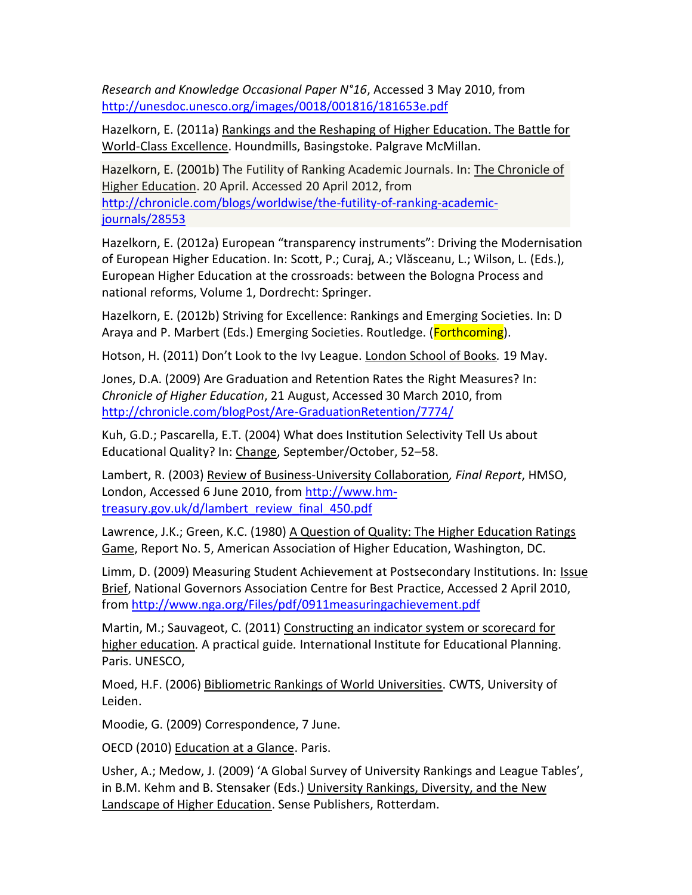*Research and Knowledge Occasional Paper N°16*, Accessed 3 May 2010, from <http://unesdoc.unesco.org/images/0018/001816/181653e.pdf>

Hazelkorn, E. (2011a) Rankings and the Reshaping of Higher Education. The Battle for World-Class Excellence. Houndmills, Basingstoke. Palgrave McMillan.

Hazelkorn, E. (2001b) The Futility of Ranking Academic Journals. In: The Chronicle of Higher Education. 20 April. Accessed 20 April 2012, from [http://chronicle.com/blogs/worldwise/the-futility-of-ranking-academic](http://chronicle.com/blogs/worldwise/the-futility-of-ranking-academic-journals/28553)[journals/28553](http://chronicle.com/blogs/worldwise/the-futility-of-ranking-academic-journals/28553)

Hazelkorn, E. (2012a) European "transparency instruments": Driving the Modernisation of European Higher Education. In: Scott, P.; Curaj, A.; Vlăsceanu, L.; Wilson, L. (Eds.), European Higher Education at the crossroads: between the Bologna Process and national reforms, Volume 1, Dordrecht: Springer.

Hazelkorn, E. (2012b) Striving for Excellence: Rankings and Emerging Societies. In: D Araya and P. Marbert (Eds.) Emerging Societies. Routledge. (Forthcoming).

Hotson, H. (2011) Don't Look to the Ivy League. London School of Books*.* 19 May.

Jones, D.A. (2009) Are Graduation and Retention Rates the Right Measures? In: *Chronicle of Higher Education*, 21 August, Accessed 30 March 2010, from <http://chronicle.com/blogPost/Are-GraduationRetention/7774/>

Kuh, G.D.; Pascarella, E.T. (2004) What does Institution Selectivity Tell Us about Educational Quality? In: Change, September/October, 52–58.

Lambert, R. (2003) Review of Business-University Collaboration*, Final Report*, HMSO, London, Accessed 6 June 2010, from [http://www.hm](http://www.hm-treasury.gov.uk/d/lambert_review_final_450.pdf)[treasury.gov.uk/d/lambert\\_review\\_final\\_450.pdf](http://www.hm-treasury.gov.uk/d/lambert_review_final_450.pdf)

Lawrence, J.K.; Green, K.C. (1980) A Question of Quality: The Higher Education Ratings Game, Report No. 5, American Association of Higher Education, Washington, DC.

Limm, D. (2009) Measuring Student Achievement at Postsecondary Institutions. In: **ISSUE** Brief, National Governors Association Centre for Best Practice, Accessed 2 April 2010, from<http://www.nga.org/Files/pdf/0911measuringachievement.pdf>

Martin, M.; Sauvageot, C. (2011) Constructing an indicator system or scorecard for higher education*.* A practical guide*.* International Institute for Educational Planning. Paris. UNESCO,

Moed, H.F. (2006) Bibliometric Rankings of World Universities. CWTS, University of Leiden.

Moodie, G. (2009) Correspondence, 7 June.

OECD (2010) Education at a Glance. Paris.

Usher, A.; Medow, J. (2009) 'A Global Survey of University Rankings and League Tables', in B.M. Kehm and B. Stensaker (Eds.) University Rankings, Diversity, and the New Landscape of Higher Education. Sense Publishers, Rotterdam.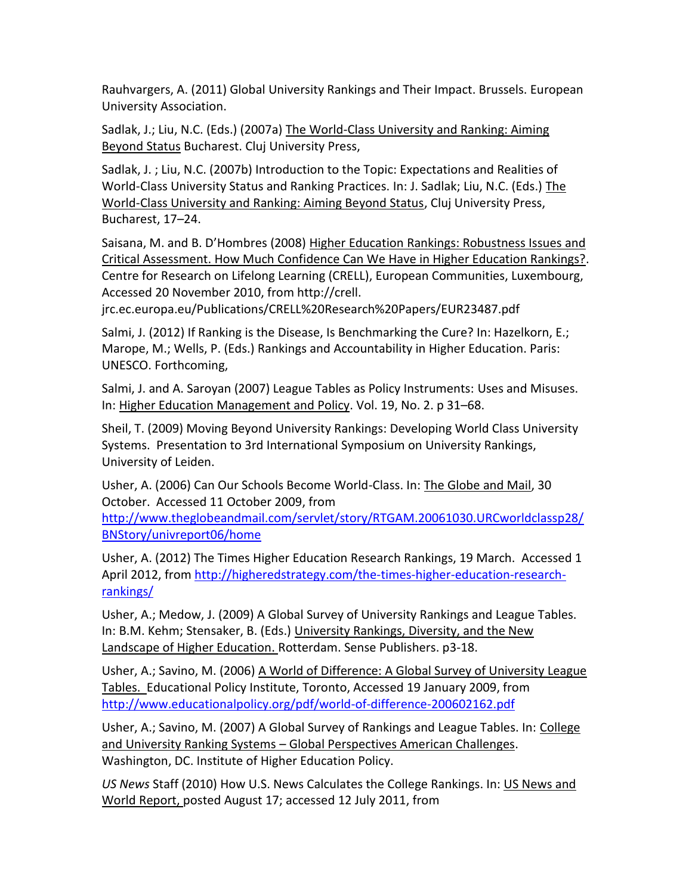Rauhvargers, A. (2011) Global University Rankings and Their Impact. Brussels. European University Association.

Sadlak, J.; Liu, N.C. (Eds.) (2007a) The World-Class University and Ranking: Aiming Beyond Status Bucharest. Cluj University Press,

Sadlak, J. ; Liu, N.C. (2007b) Introduction to the Topic: Expectations and Realities of World-Class University Status and Ranking Practices. In: J. Sadlak; Liu, N.C. (Eds.) The World-Class University and Ranking: Aiming Beyond Status, Cluj University Press, Bucharest, 17–24.

Saisana, M. and B. D'Hombres (2008) Higher Education Rankings: Robustness Issues and Critical Assessment. How Much Confidence Can We Have in Higher Education Rankings?. Centre for Research on Lifelong Learning (CRELL), European Communities, Luxembourg, Accessed 20 November 2010, from http://crell.

jrc.ec.europa.eu/Publications/CRELL%20Research%20Papers/EUR23487.pdf

Salmi, J. (2012) If Ranking is the Disease, Is Benchmarking the Cure? In: Hazelkorn, E.; Marope, M.; Wells, P. (Eds.) Rankings and Accountability in Higher Education. Paris: UNESCO. Forthcoming,

Salmi, J. and A. Saroyan (2007) League Tables as Policy Instruments: Uses and Misuses. In: Higher Education Management and Policy. Vol. 19, No. 2. p 31–68.

Sheil, T. (2009) Moving Beyond University Rankings: Developing World Class University Systems. Presentation to 3rd International Symposium on University Rankings, University of Leiden.

Usher, A. (2006) Can Our Schools Become World-Class. In: The Globe and Mail, 30 October. Accessed 11 October 2009, from

[http://www.theglobeandmail.com/servlet/story/RTGAM.20061030.URCworldclassp28/](http://www.theglobeandmail.com/servlet/story/RTGAM.20061030.URCworldclassp28/BNStory/univreport06/home) [BNStory/univreport06/home](http://www.theglobeandmail.com/servlet/story/RTGAM.20061030.URCworldclassp28/BNStory/univreport06/home)

Usher, A. (2012) The Times Higher Education Research Rankings, 19 March. Accessed 1 April 2012, from http://higheredstrategy.com/the-times-higher-education-researchrankings/

Usher, A.; Medow, J. (2009) A Global Survey of University Rankings and League Tables. In: B.M. Kehm; Stensaker, B. (Eds.) University Rankings, Diversity, and the New Landscape of Higher Education. Rotterdam. Sense Publishers. p3-18.

Usher, A.; Savino, M. (2006) A World of Difference: A Global Survey of University League Tables. Educational Policy Institute, Toronto, Accessed 19 January 2009, from <http://www.educationalpolicy.org/pdf/world-of-difference-200602162.pdf>

Usher, A.; Savino, M. (2007) A Global Survey of Rankings and League Tables. In: College and University Ranking Systems – Global Perspectives American Challenges. Washington, DC. Institute of Higher Education Policy.

*US News* Staff (2010) How U.S. News Calculates the College Rankings. In: US News and World Report, posted August 17; accessed 12 July 2011, from